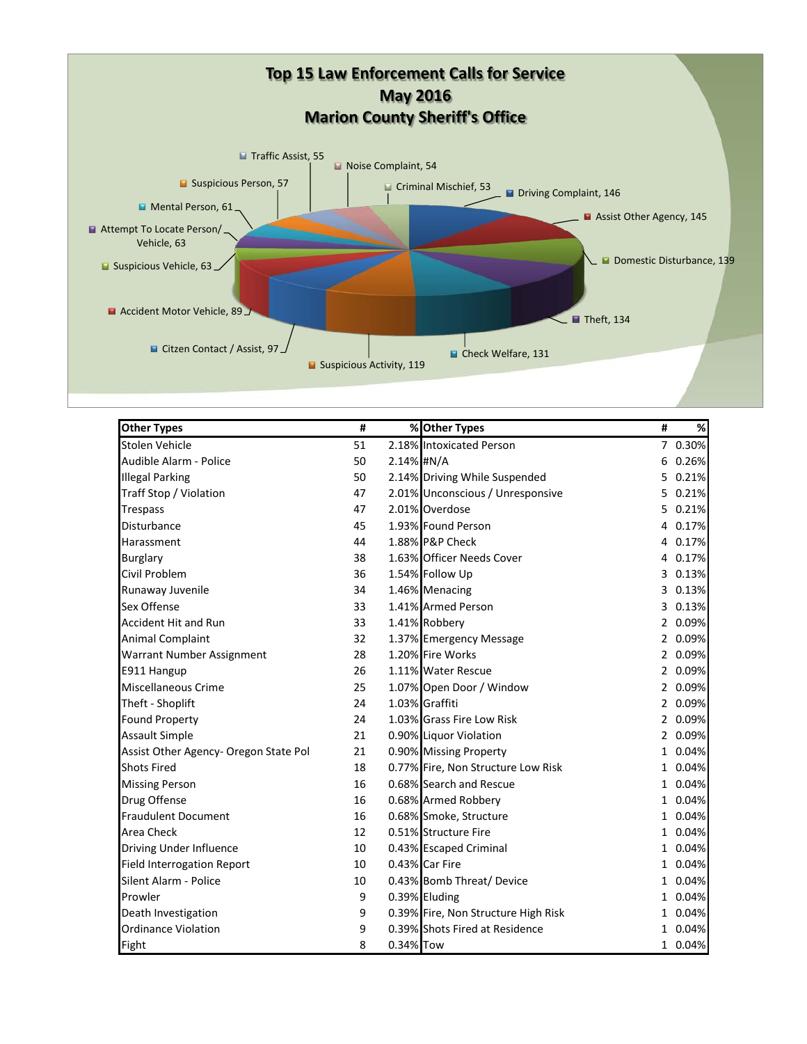

| <b>Other Types</b>                    | #  |            | % Other Types                       | # | %       |
|---------------------------------------|----|------------|-------------------------------------|---|---------|
| Stolen Vehicle                        | 51 |            | 2.18% Intoxicated Person            |   | 7 0.30% |
| Audible Alarm - Police                | 50 | 2.14% #N/A |                                     |   | 6 0.26% |
| <b>Illegal Parking</b>                | 50 |            | 2.14% Driving While Suspended       |   | 5 0.21% |
| Traff Stop / Violation                | 47 |            | 2.01% Unconscious / Unresponsive    | 5 | 0.21%   |
| Trespass                              | 47 |            | 2.01% Overdose                      | 5 | 0.21%   |
| Disturbance                           | 45 |            | 1.93% Found Person                  |   | 4 0.17% |
| Harassment                            | 44 |            | 1.88% P&P Check                     |   | 4 0.17% |
| <b>Burglary</b>                       | 38 |            | 1.63% Officer Needs Cover           |   | 4 0.17% |
| Civil Problem                         | 36 |            | 1.54% Follow Up                     |   | 3 0.13% |
| Runaway Juvenile                      | 34 |            | 1.46% Menacing                      | 3 | 0.13%   |
| Sex Offense                           | 33 |            | 1.41% Armed Person                  |   | 3 0.13% |
| <b>Accident Hit and Run</b>           | 33 |            | 1.41% Robbery                       |   | 2 0.09% |
| Animal Complaint                      | 32 |            | 1.37% Emergency Message             |   | 2 0.09% |
| Warrant Number Assignment             | 28 |            | 1.20% Fire Works                    |   | 2 0.09% |
| E911 Hangup                           | 26 |            | 1.11% Water Rescue                  |   | 2 0.09% |
| Miscellaneous Crime                   | 25 |            | 1.07% Open Door / Window            |   | 2 0.09% |
| Theft - Shoplift                      | 24 |            | 1.03% Graffiti                      |   | 2 0.09% |
| Found Property                        | 24 |            | 1.03% Grass Fire Low Risk           |   | 2 0.09% |
| <b>Assault Simple</b>                 | 21 |            | 0.90% Liquor Violation              |   | 2 0.09% |
| Assist Other Agency- Oregon State Pol | 21 |            | 0.90% Missing Property              |   | 1 0.04% |
| <b>Shots Fired</b>                    | 18 |            | 0.77% Fire, Non Structure Low Risk  |   | 1 0.04% |
| <b>Missing Person</b>                 | 16 |            | 0.68% Search and Rescue             |   | 1 0.04% |
| Drug Offense                          | 16 |            | 0.68% Armed Robbery                 |   | 1 0.04% |
| <b>Fraudulent Document</b>            | 16 |            | 0.68% Smoke, Structure              |   | 1 0.04% |
| Area Check                            | 12 |            | 0.51% Structure Fire                |   | 1 0.04% |
| Driving Under Influence               | 10 |            | 0.43% Escaped Criminal              |   | 1 0.04% |
| <b>Field Interrogation Report</b>     | 10 |            | 0.43% Car Fire                      |   | 1 0.04% |
| Silent Alarm - Police                 | 10 |            | 0.43% Bomb Threat/Device            |   | 1 0.04% |
| Prowler                               | 9  |            | 0.39% Eluding                       |   | 1 0.04% |
| Death Investigation                   | 9  |            | 0.39% Fire, Non Structure High Risk |   | 1 0.04% |
| <b>Ordinance Violation</b>            | 9  |            | 0.39% Shots Fired at Residence      |   | 1 0.04% |
| Fight                                 | 8  | 0.34% Tow  |                                     |   | 1 0.04% |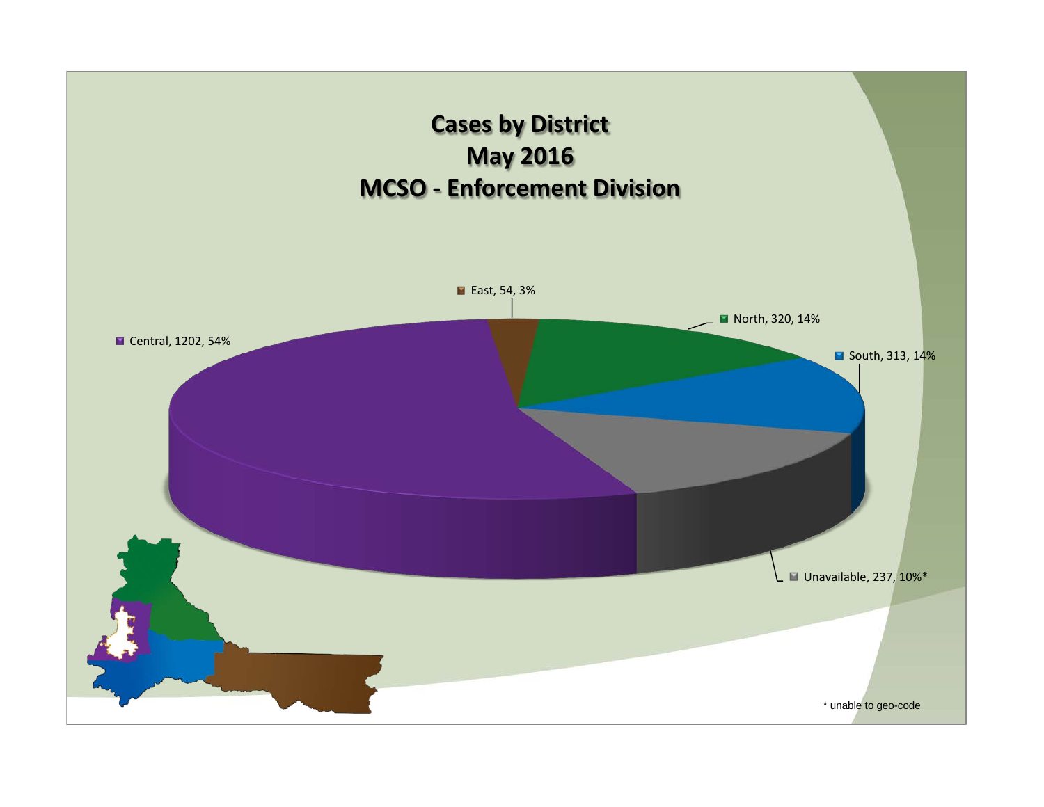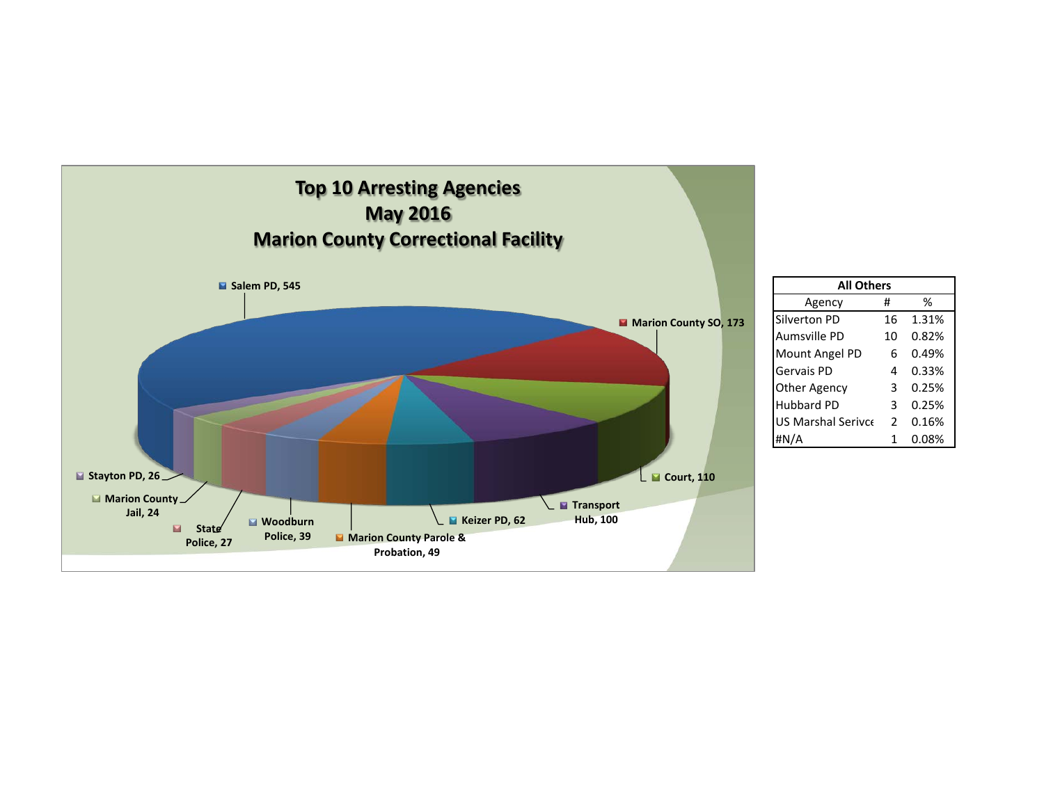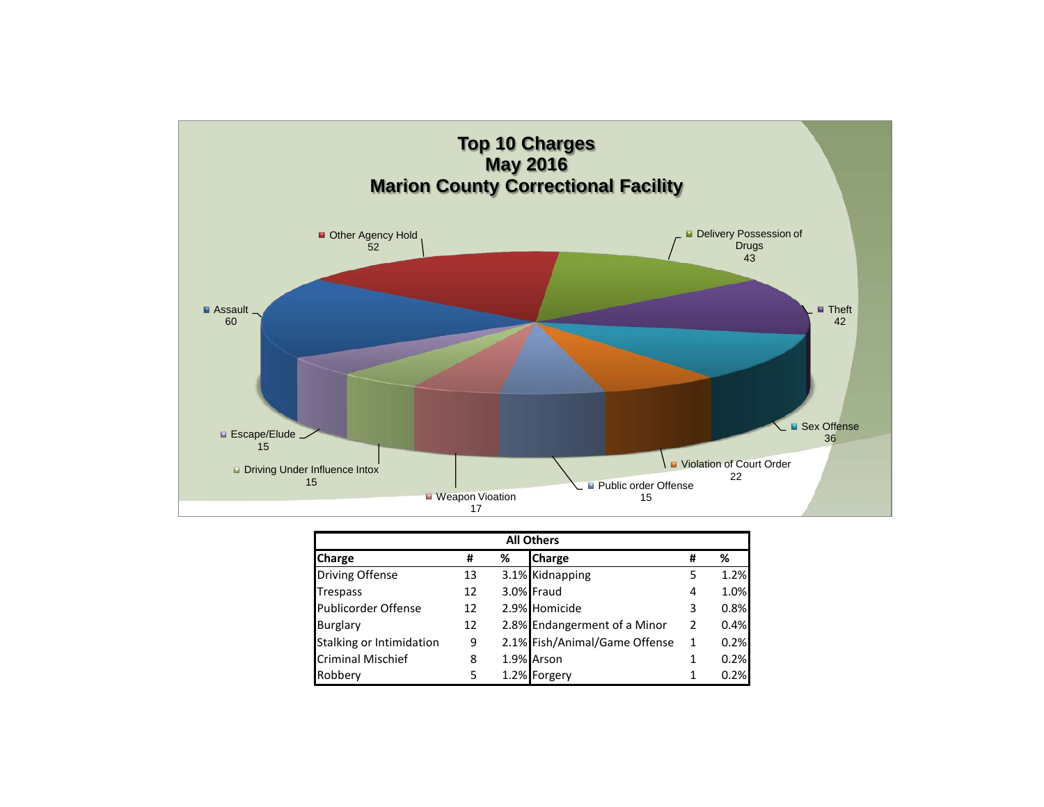

| <b>All Others</b>        |    |   |                               |   |      |
|--------------------------|----|---|-------------------------------|---|------|
| Charge                   | #  | % | <b>Charge</b>                 | # | ℅    |
| <b>Driving Offense</b>   | 13 |   | 3.1% Kidnapping               | 5 | 1.2% |
| Trespass                 | 12 |   | 3.0% Fraud                    | 4 | 1.0% |
| Publicorder Offense      | 12 |   | 2.9% Homicide                 | 3 | 0.8% |
| <b>Burglary</b>          | 12 |   | 2.8% Endangerment of a Minor  | 2 | 0.4% |
| Stalking or Intimidation | 9  |   | 2.1% Fish/Animal/Game Offense | 1 | 0.2% |
| <b>Criminal Mischief</b> | 8  |   | 1.9% Arson                    | 1 | 0.2% |
| Robbery                  | 5  |   | 1.2% Forgery                  | 1 | 0.2% |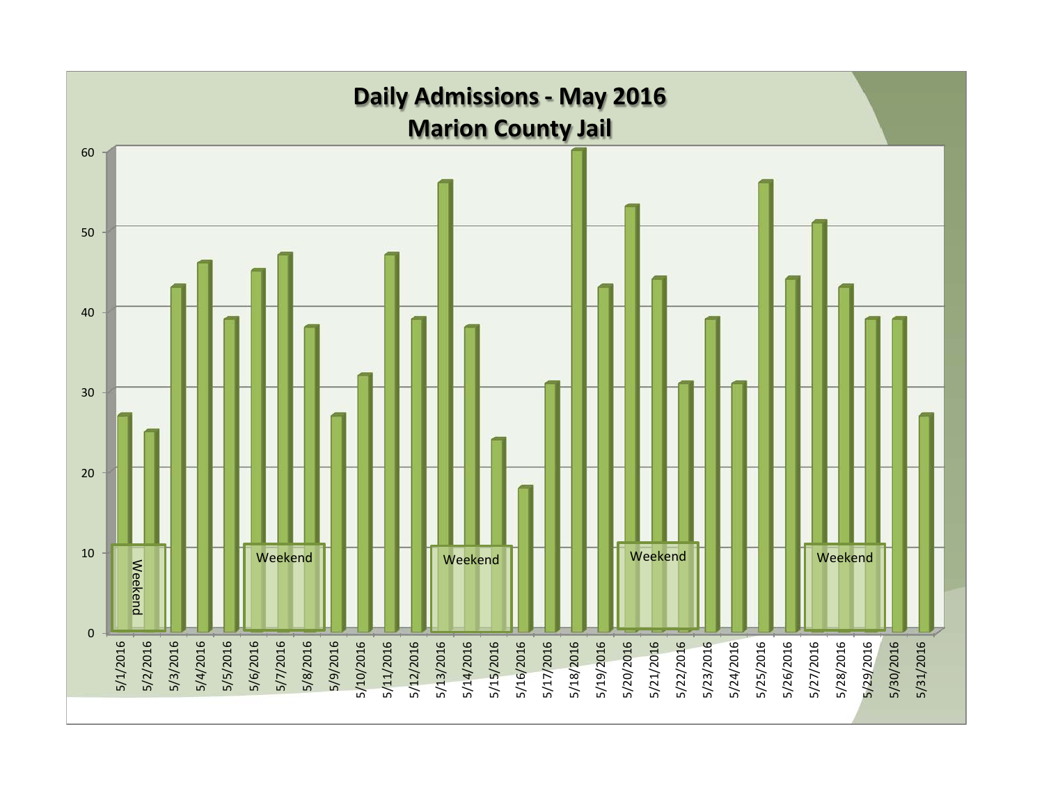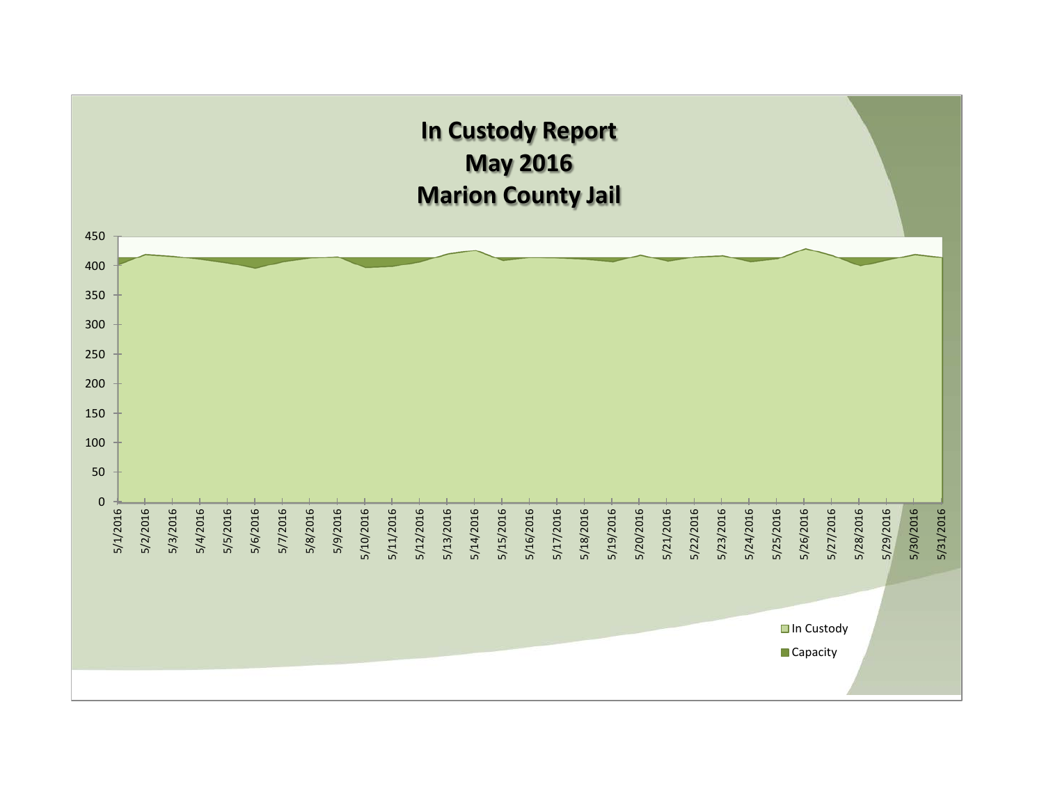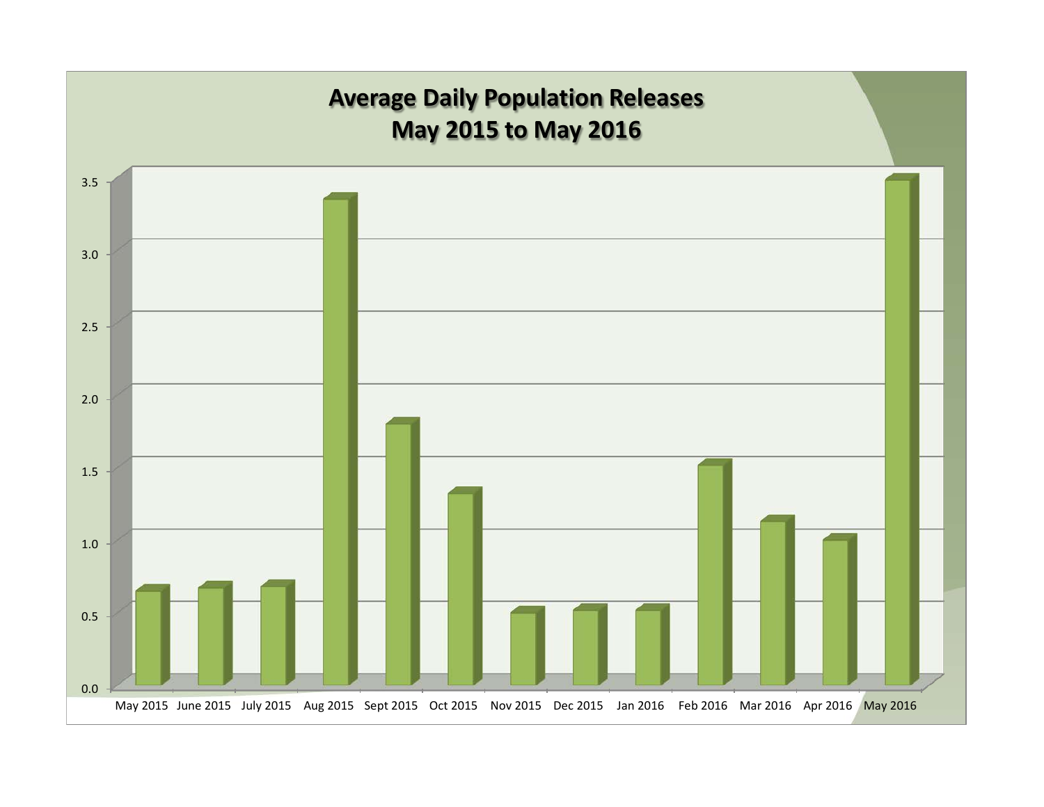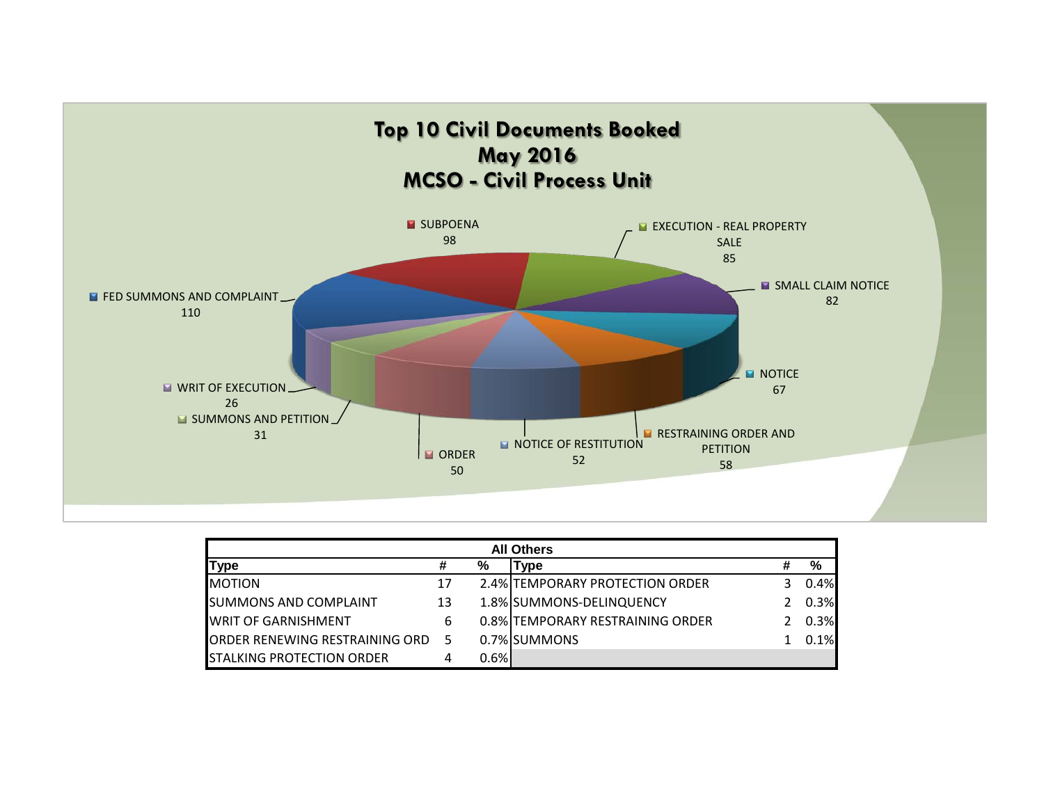

| <b>All Others</b>                      |    |       |                                  |   |      |
|----------------------------------------|----|-------|----------------------------------|---|------|
| <b>Type</b>                            | #  | %     | Type                             | # | %    |
| <b>MOTION</b>                          | 17 |       | 2.4% TEMPORARY PROTECTION ORDER  |   | 0.4% |
| <b>SUMMONS AND COMPLAINT</b>           | 13 |       | 1.8% SUMMONS-DELINQUENCY         |   | 0.3% |
| <b>WRIT OF GARNISHMENT</b>             | 6  |       | 0.8% TEMPORARY RESTRAINING ORDER |   | 0.3% |
| <b>JORDER RENEWING RESTRAINING ORD</b> | 5  |       | 0.7% SUMMONS                     |   | 0.1% |
| <b>STALKING PROTECTION ORDER</b>       | 4  | 0.6%I |                                  |   |      |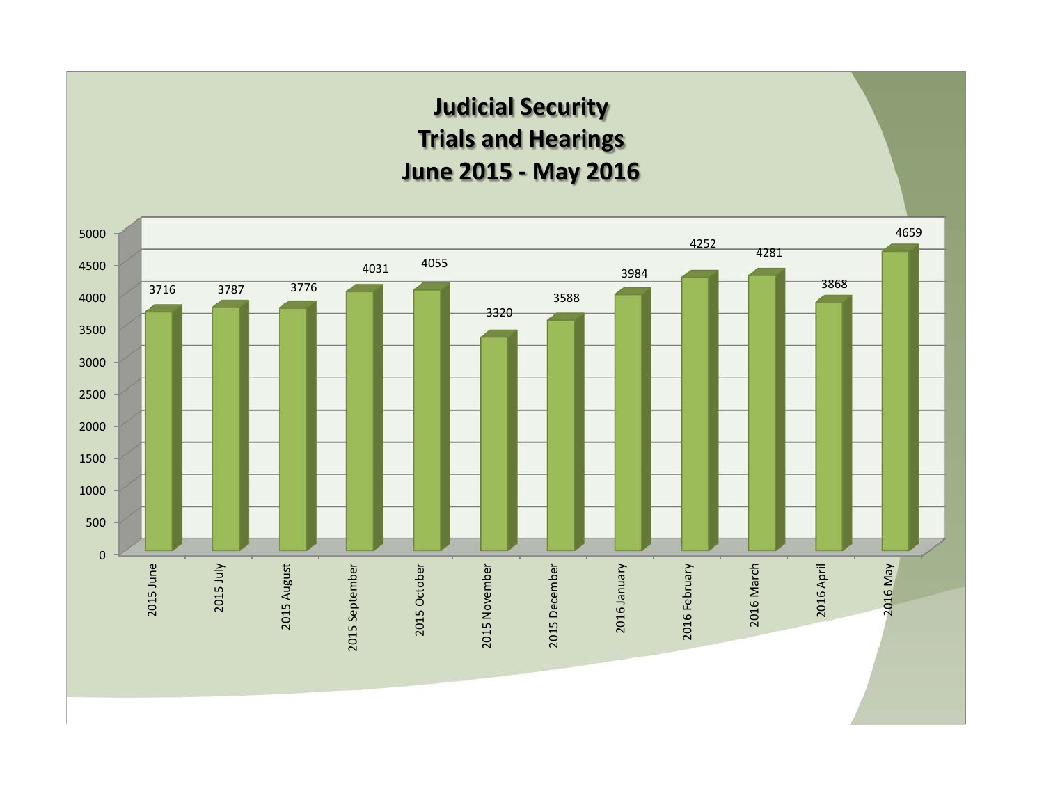## **Judicial Security Trials and Hearings June 2015 - May 2016**

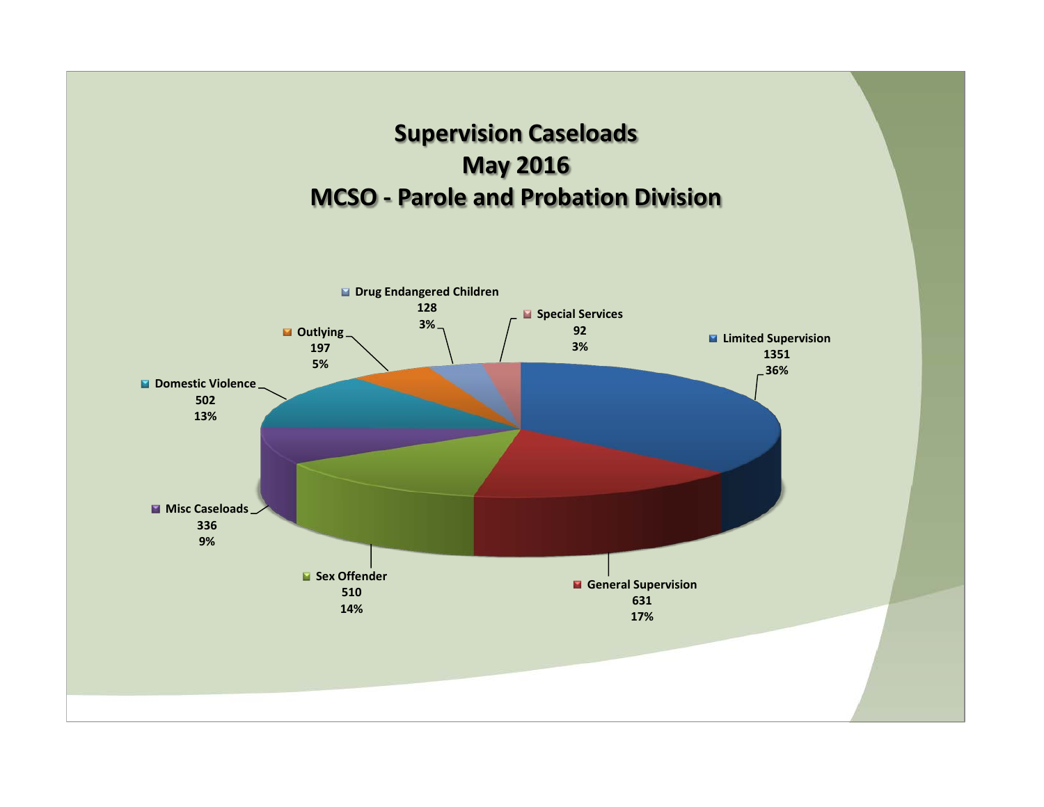

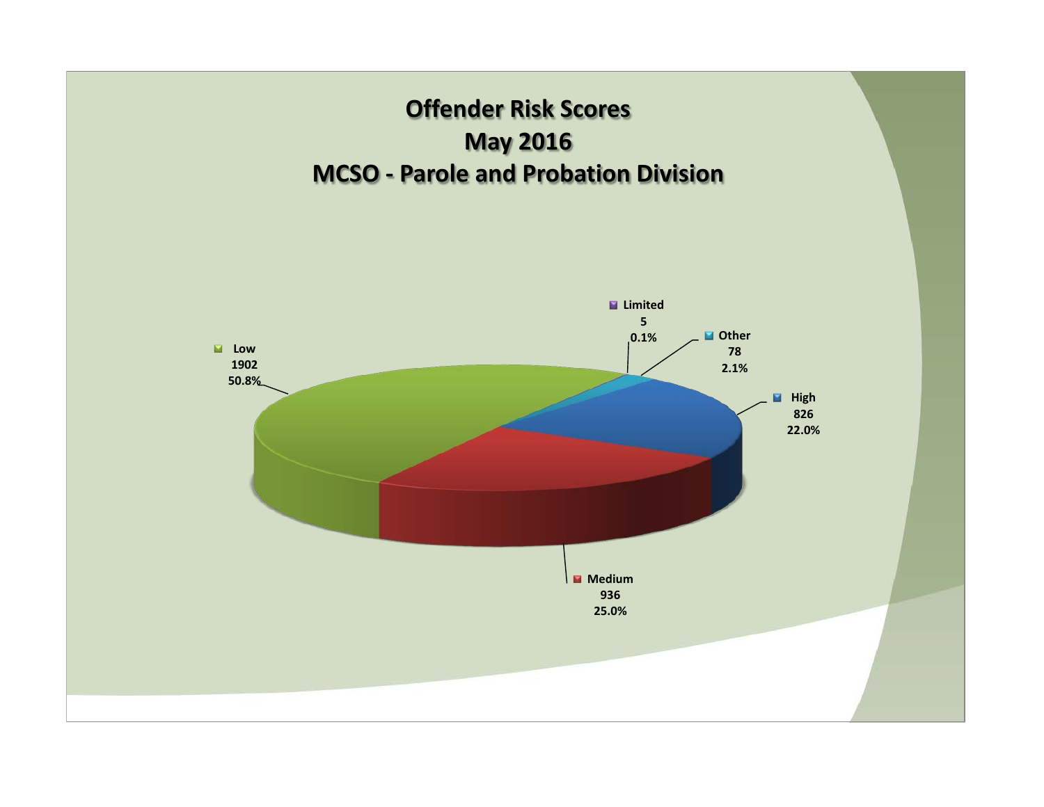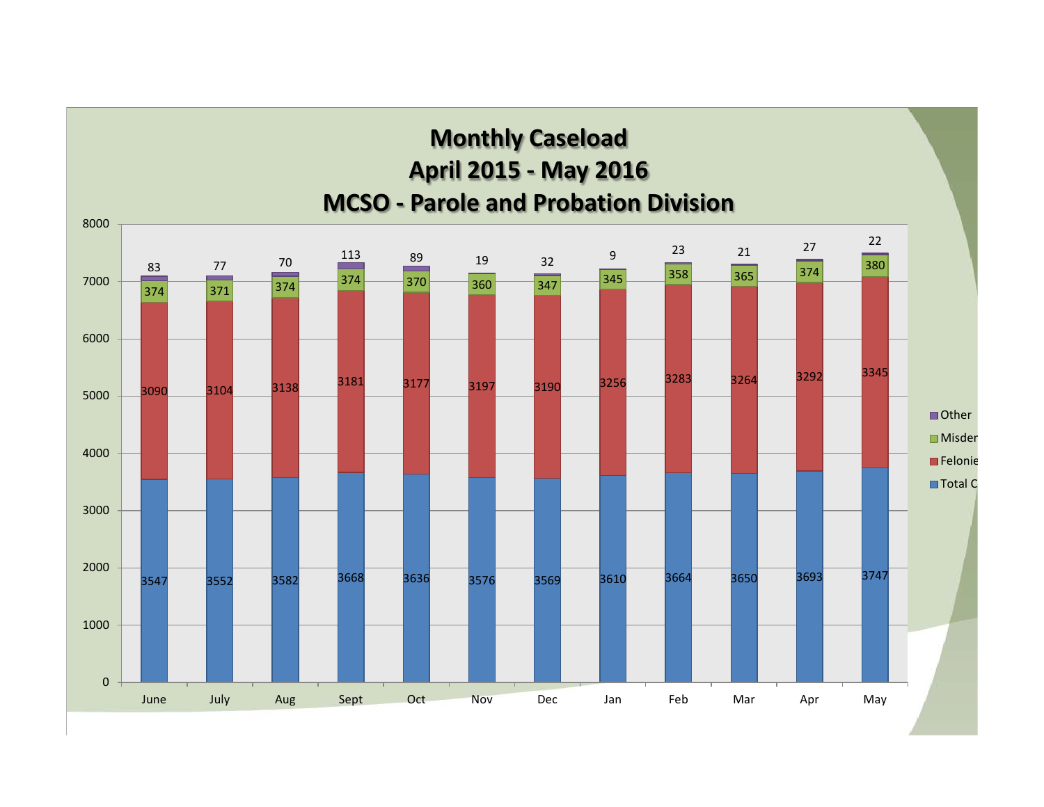